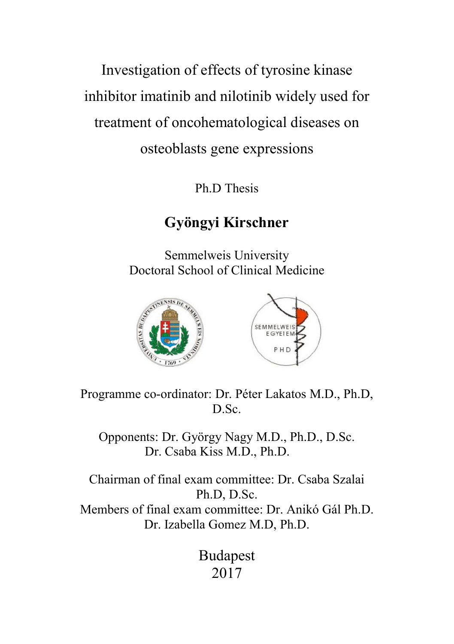Investigation of effects of tyrosine kinase inhibitor imatinib and nilotinib widely used for treatment of oncohematological diseases on osteoblasts gene expressions

Ph.D Thesis

# Gyöngyi Kirschner

Semmelweis University Doctoral School of Clinical Medicine



Programme co-ordinator: Dr. Péter Lakatos M.D., Ph.D, D.Sc.

Opponents: Dr. György Nagy M.D., Ph.D., D.Sc. Dr. Csaba Kiss M.D., Ph.D.

Chairman of final exam committee: Dr. Csaba Szalai Ph.D, D.Sc. Members of final exam committee: Dr. Anikó Gál Ph.D. Dr. Izabella Gomez M.D, Ph.D.

> Budapest 2017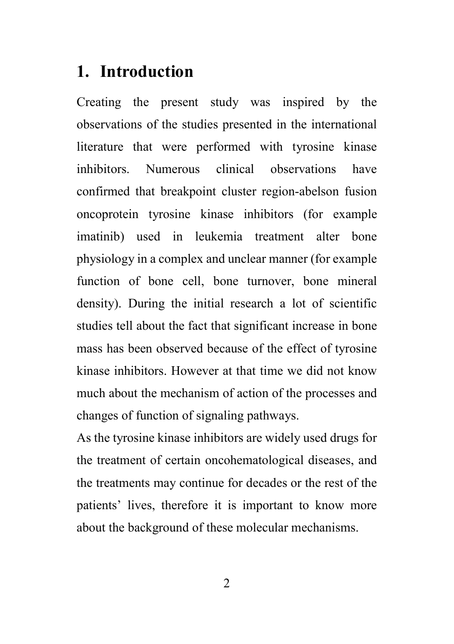# 1. Introduction

Creating the present study was inspired by the observations of the studies presented in the international literature that were performed with tyrosine kinase inhibitors. Numerous clinical observations have confirmed that breakpoint cluster region-abelson fusion oncoprotein tyrosine kinase inhibitors (for example imatinib) used in leukemia treatment alter bone physiology in a complex and unclear manner (for example function of bone cell, bone turnover, bone mineral density). During the initial research a lot of scientific studies tell about the fact that significant increase in bone mass has been observed because of the effect of tyrosine kinase inhibitors. However at that time we did not know much about the mechanism of action of the processes and changes of function of signaling pathways.

As the tyrosine kinase inhibitors are widely used drugs for the treatment of certain oncohematological diseases, and the treatments may continue for decades or the rest of the patients' lives, therefore it is important to know more about the background of these molecular mechanisms.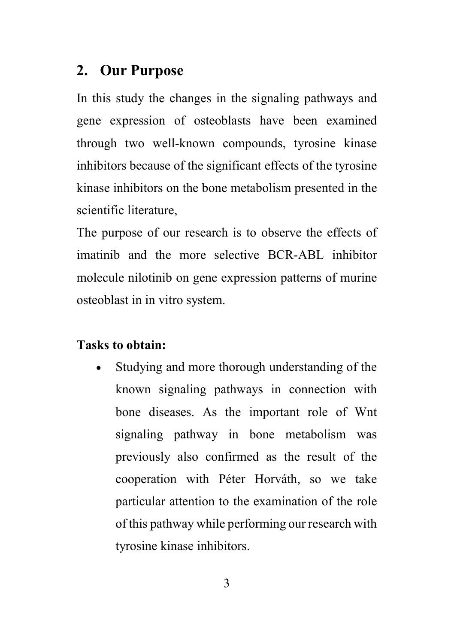# 2. Our Purpose

In this study the changes in the signaling pathways and gene expression of osteoblasts have been examined through two well-known compounds, tyrosine kinase inhibitors because of the significant effects of the tyrosine kinase inhibitors on the bone metabolism presented in the scientific literature,

The purpose of our research is to observe the effects of imatinib and the more selective BCR-ABL inhibitor molecule nilotinib on gene expression patterns of murine osteoblast in in vitro system.

### Tasks to obtain:

 Studying and more thorough understanding of the known signaling pathways in connection with bone diseases. As the important role of Wnt signaling pathway in bone metabolism was previously also confirmed as the result of the cooperation with Péter Horváth, so we take particular attention to the examination of the role of this pathway while performing our research with tyrosine kinase inhibitors.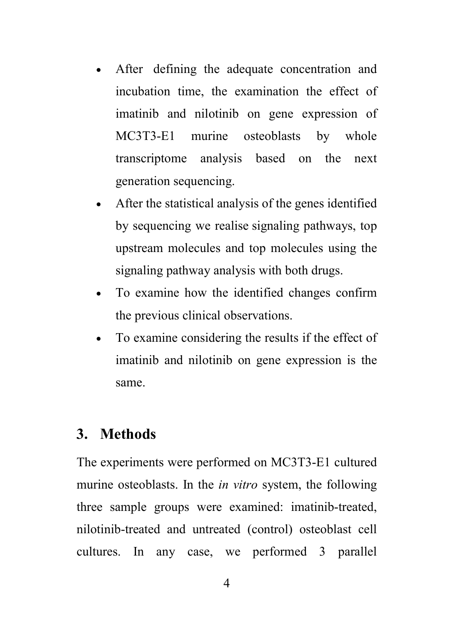- After defining the adequate concentration and incubation time, the examination the effect of imatinib and nilotinib on gene expression of MC3T3-E1 murine osteoblasts by whole transcriptome analysis based on the next generation sequencing.
- After the statistical analysis of the genes identified by sequencing we realise signaling pathways, top upstream molecules and top molecules using the signaling pathway analysis with both drugs.
- To examine how the identified changes confirm the previous clinical observations.
- To examine considering the results if the effect of imatinib and nilotinib on gene expression is the same.

### 3. Methods

The experiments were performed on MC3T3-E1 cultured murine osteoblasts. In the *in vitro* system, the following three sample groups were examined: imatinib-treated, nilotinib-treated and untreated (control) osteoblast cell cultures. In any case, we performed 3 parallel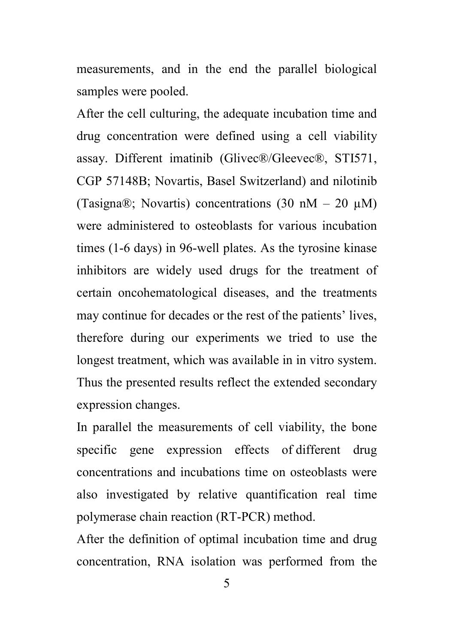measurements, and in the end the parallel biological samples were pooled.

After the cell culturing, the adequate incubation time and drug concentration were defined using a cell viability assay. Different imatinib (Glivec®/Gleevec®, STI571, CGP 57148B; Novartis, Basel Switzerland) and nilotinib (Tasigna®; Novartis) concentrations  $(30 \text{ nM} - 20 \text{ µ})$ were administered to osteoblasts for various incubation times (1-6 days) in 96-well plates. As the tyrosine kinase inhibitors are widely used drugs for the treatment of certain oncohematological diseases, and the treatments may continue for decades or the rest of the patients' lives, therefore during our experiments we tried to use the longest treatment, which was available in in vitro system. Thus the presented results reflect the extended secondary expression changes.

In parallel the measurements of cell viability, the bone specific gene expression effects of different drug concentrations and incubations time on osteoblasts were also investigated by relative quantification real time polymerase chain reaction (RT-PCR) method.

After the definition of optimal incubation time and drug concentration, RNA isolation was performed from the

5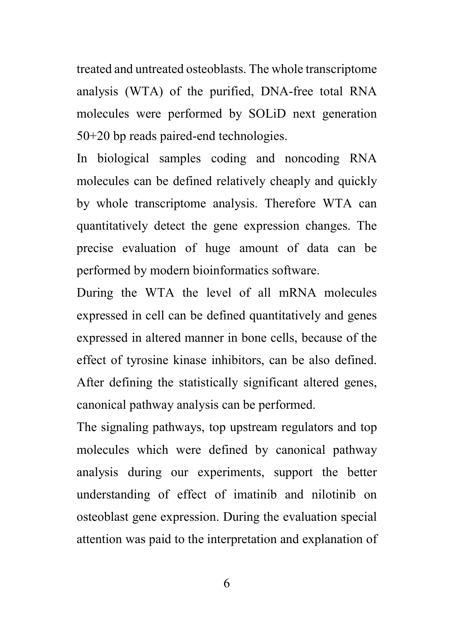treated and untreated osteoblasts. The whole transcriptome analysis (WTA) of the purified, DNA-free total RNA molecules were performed by SOLiD next generation 50+20 bp reads paired-end technologies.

In biological samples coding and noncoding RNA molecules can be defined relatively cheaply and quickly by whole transcriptome analysis. Therefore WTA can quantitatively detect the gene expression changes. The precise evaluation of huge amount of data can be performed by modern bioinformatics software.

During the WTA the level of all mRNA molecules expressed in cell can be defined quantitatively and genes expressed in altered manner in bone cells, because of the effect of tyrosine kinase inhibitors, can be also defined. After defining the statistically significant altered genes, canonical pathway analysis can be performed.

The signaling pathways, top upstream regulators and top molecules which were defined by canonical pathway analysis during our experiments, support the better understanding of effect of imatinib and nilotinib on osteoblast gene expression. During the evaluation special attention was paid to the interpretation and explanation of

6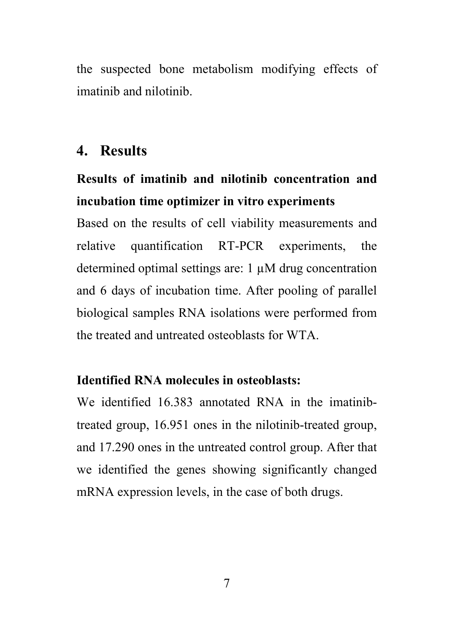the suspected bone metabolism modifying effects of imatinib and nilotinib.

# 4. Results

# Results of imatinib and nilotinib concentration and incubation time optimizer in vitro experiments

Based on the results of cell viability measurements and relative quantification RT-PCR experiments, the determined optimal settings are:  $1 \mu M$  drug concentration and 6 days of incubation time. After pooling of parallel biological samples RNA isolations were performed from the treated and untreated osteoblasts for WTA.

#### Identified RNA molecules in osteoblasts:

We identified 16.383 annotated RNA in the imatinibtreated group, 16.951 ones in the nilotinib-treated group, and 17.290 ones in the untreated control group. After that we identified the genes showing significantly changed mRNA expression levels, in the case of both drugs.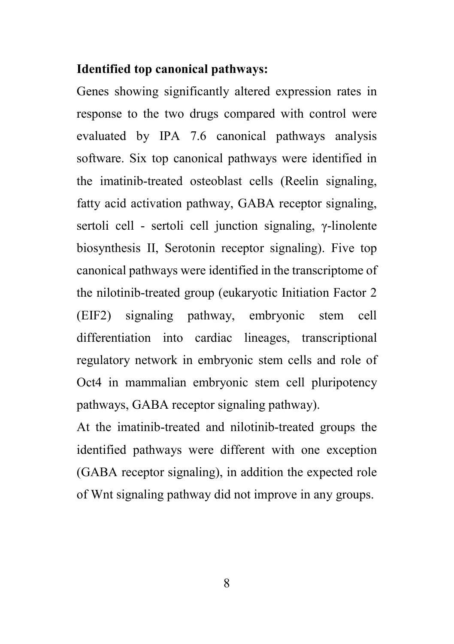#### Identified top canonical pathways:

Genes showing significantly altered expression rates in response to the two drugs compared with control were evaluated by IPA 7.6 canonical pathways analysis software. Six top canonical pathways were identified in the imatinib-treated osteoblast cells (Reelin signaling, fatty acid activation pathway, GABA receptor signaling, sertoli cell - sertoli cell junction signaling, γ-linolente biosynthesis II, Serotonin receptor signaling). Five top canonical pathways were identified in the transcriptome of the nilotinib-treated group (eukaryotic Initiation Factor 2 (EIF2) signaling pathway, embryonic stem cell differentiation into cardiac lineages, transcriptional regulatory network in embryonic stem cells and role of Oct4 in mammalian embryonic stem cell pluripotency pathways, GABA receptor signaling pathway).

At the imatinib-treated and nilotinib-treated groups the identified pathways were different with one exception (GABA receptor signaling), in addition the expected role of Wnt signaling pathway did not improve in any groups.

8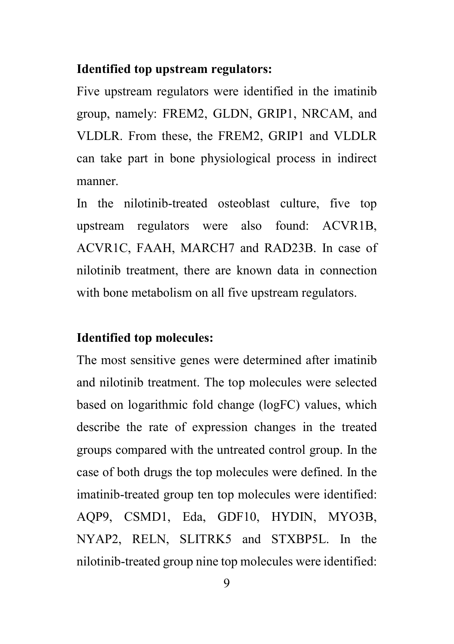#### Identified top upstream regulators:

Five upstream regulators were identified in the imatinib group, namely: FREM2, GLDN, GRIP1, NRCAM, and VLDLR. From these, the FREM2, GRIP1 and VLDLR can take part in bone physiological process in indirect manner.

In the nilotinib-treated osteoblast culture, five top upstream regulators were also found: ACVR1B, ACVR1C, FAAH, MARCH7 and RAD23B. In case of nilotinib treatment, there are known data in connection with bone metabolism on all five upstream regulators.

#### Identified top molecules:

The most sensitive genes were determined after imatinib and nilotinib treatment. The top molecules were selected based on logarithmic fold change (logFC) values, which describe the rate of expression changes in the treated groups compared with the untreated control group. In the case of both drugs the top molecules were defined. In the imatinib-treated group ten top molecules were identified: AQP9, CSMD1, Eda, GDF10, HYDIN, MYO3B, NYAP2, RELN, SLITRK5 and STXBP5L. In the nilotinib-treated group nine top molecules were identified: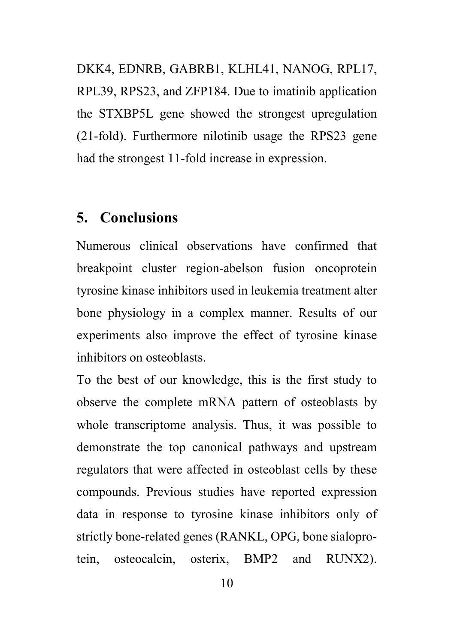DKK4, EDNRB, GABRB1, KLHL41, NANOG, RPL17, RPL39, RPS23, and ZFP184. Due to imatinib application the STXBP5L gene showed the strongest upregulation (21-fold). Furthermore nilotinib usage the RPS23 gene had the strongest 11-fold increase in expression.

# 5. Conclusions

Numerous clinical observations have confirmed that breakpoint cluster region-abelson fusion oncoprotein tyrosine kinase inhibitors used in leukemia treatment alter bone physiology in a complex manner. Results of our experiments also improve the effect of tyrosine kinase inhibitors on osteoblasts.

To the best of our knowledge, this is the first study to observe the complete mRNA pattern of osteoblasts by whole transcriptome analysis. Thus, it was possible to demonstrate the top canonical pathways and upstream regulators that were affected in osteoblast cells by these compounds. Previous studies have reported expression data in response to tyrosine kinase inhibitors only of strictly bone-related genes (RANKL, OPG, bone sialoprotein, osteocalcin, osterix, BMP2 and RUNX2).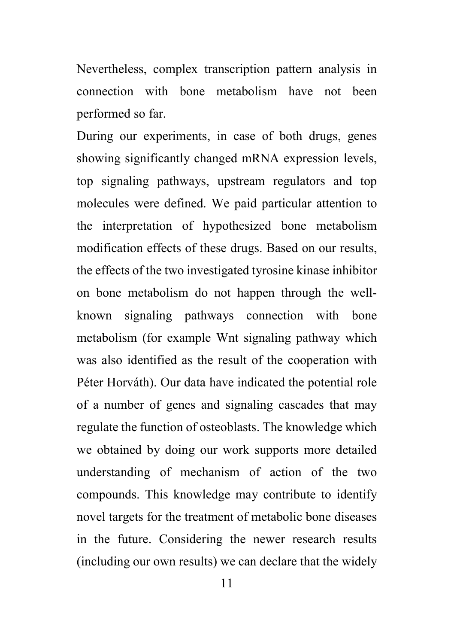Nevertheless, complex transcription pattern analysis in connection with bone metabolism have not been performed so far.

During our experiments, in case of both drugs, genes showing significantly changed mRNA expression levels, top signaling pathways, upstream regulators and top molecules were defined. We paid particular attention to the interpretation of hypothesized bone metabolism modification effects of these drugs. Based on our results, the effects of the two investigated tyrosine kinase inhibitor on bone metabolism do not happen through the wellknown signaling pathways connection with bone metabolism (for example Wnt signaling pathway which was also identified as the result of the cooperation with Péter Horváth). Our data have indicated the potential role of a number of genes and signaling cascades that may regulate the function of osteoblasts. The knowledge which we obtained by doing our work supports more detailed understanding of mechanism of action of the two compounds. This knowledge may contribute to identify novel targets for the treatment of metabolic bone diseases in the future. Considering the newer research results (including our own results) we can declare that the widely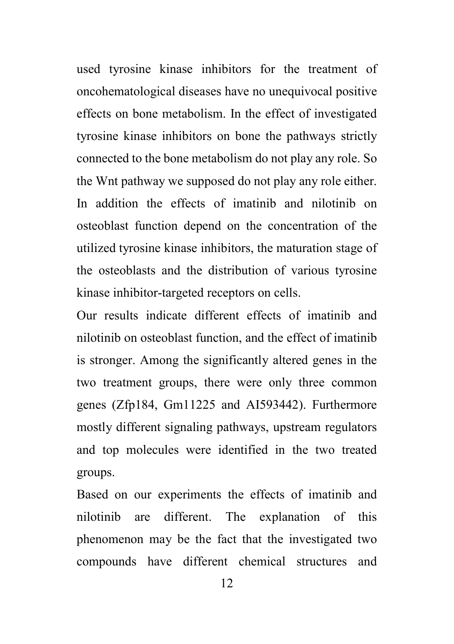used tyrosine kinase inhibitors for the treatment of oncohematological diseases have no unequivocal positive effects on bone metabolism. In the effect of investigated tyrosine kinase inhibitors on bone the pathways strictly connected to the bone metabolism do not play any role. So the Wnt pathway we supposed do not play any role either. In addition the effects of imatinib and nilotinib on osteoblast function depend on the concentration of the utilized tyrosine kinase inhibitors, the maturation stage of the osteoblasts and the distribution of various tyrosine kinase inhibitor-targeted receptors on cells.

Our results indicate different effects of imatinib and nilotinib on osteoblast function, and the effect of imatinib is stronger. Among the significantly altered genes in the two treatment groups, there were only three common genes (Zfp184, Gm11225 and AI593442). Furthermore mostly different signaling pathways, upstream regulators and top molecules were identified in the two treated groups.

Based on our experiments the effects of imatinib and nilotinib are different. The explanation of this phenomenon may be the fact that the investigated two compounds have different chemical structures and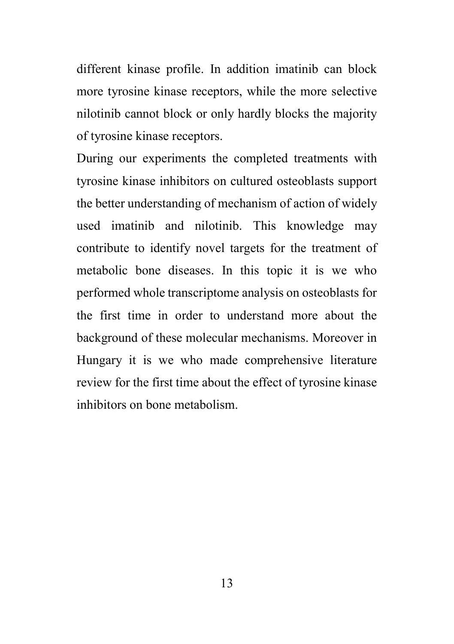different kinase profile. In addition imatinib can block more tyrosine kinase receptors, while the more selective nilotinib cannot block or only hardly blocks the majority of tyrosine kinase receptors.

During our experiments the completed treatments with tyrosine kinase inhibitors on cultured osteoblasts support the better understanding of mechanism of action of widely used imatinib and nilotinib. This knowledge may contribute to identify novel targets for the treatment of metabolic bone diseases. In this topic it is we who performed whole transcriptome analysis on osteoblasts for the first time in order to understand more about the background of these molecular mechanisms. Moreover in Hungary it is we who made comprehensive literature review for the first time about the effect of tyrosine kinase inhibitors on bone metabolism.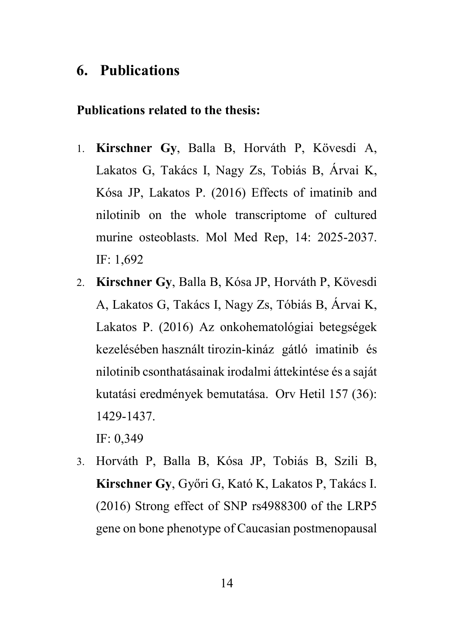# 6. Publications

#### Publications related to the thesis:

- 1. Kirschner Gy, Balla B, Horváth P, Kövesdi A, Lakatos G, Takács I, Nagy Zs, Tobiás B, Árvai K, Kósa JP, Lakatos P. (2016) Effects of imatinib and nilotinib on the whole transcriptome of cultured murine osteoblasts. Mol Med Rep, 14: 2025-2037. IF: 1,692
- 2. Kirschner Gy, Balla B, Kósa JP, Horváth P, Kövesdi A, Lakatos G, Takács I, Nagy Zs, Tóbiás B, Árvai K, Lakatos P. (2016) Az onkohematológiai betegségek kezelésében használt tirozin-kináz gátló imatinib és nilotinib csonthatásainak irodalmi áttekintése és a saját kutatási eredmények bemutatása. Orv Hetil 157 (36): 1429-1437.

IF: 0,349

3. Horváth P, Balla B, Kósa JP, Tobiás B, Szili B, Kirschner Gy, Győri G, Kató K, Lakatos P, Takács I. (2016) Strong effect of SNP rs4988300 of the LRP5 gene on bone phenotype of Caucasian postmenopausal